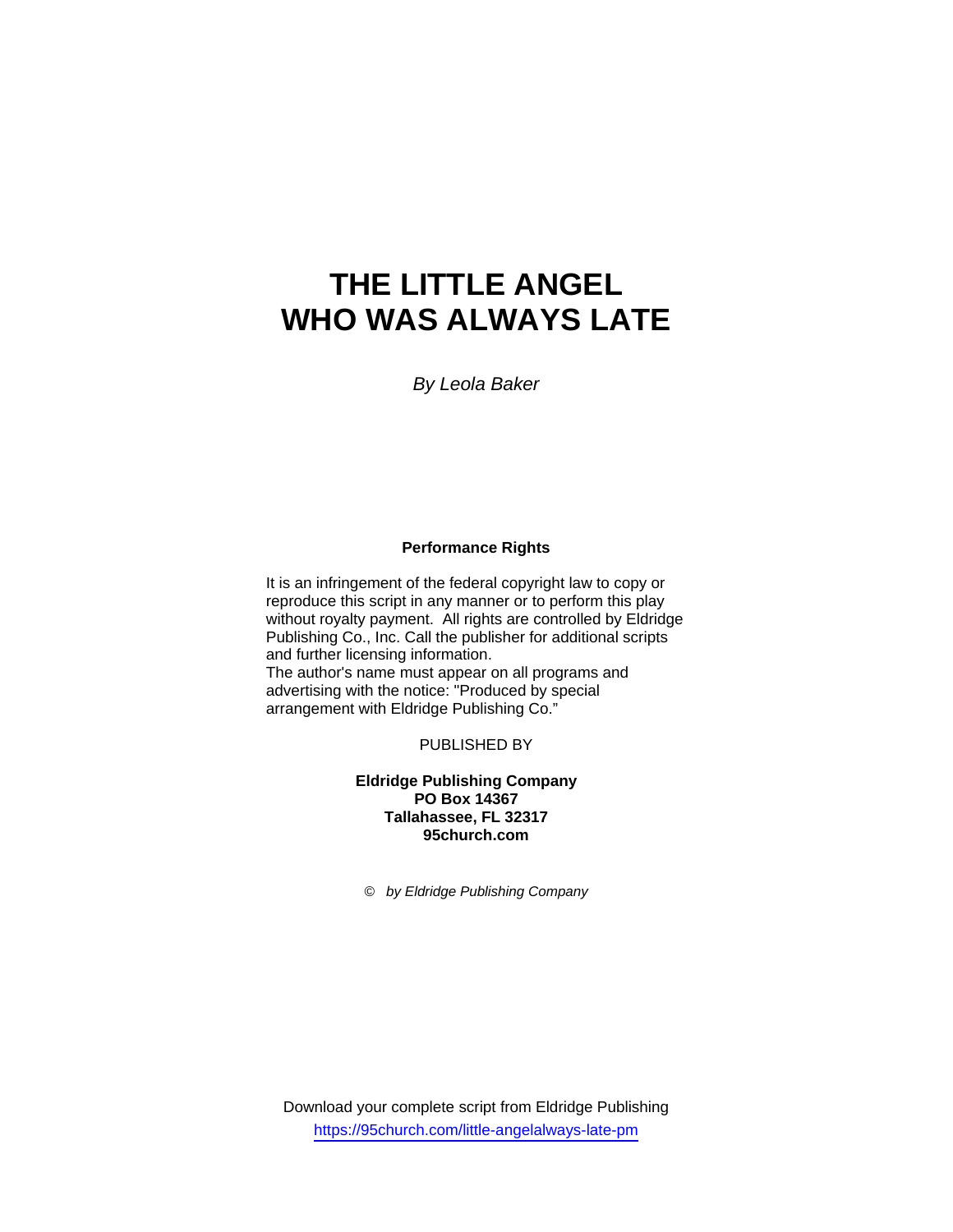# **THE LITTLE ANGEL WHO WAS ALWAYS LATE**

*By Leola Baker* 

## **Performance Rights**

It is an infringement of the federal copyright law to copy or reproduce this script in any manner or to perform this play without royalty payment. All rights are controlled by Eldridge Publishing Co., Inc. Call the publisher for additional scripts and further licensing information. The author's name must appear on all programs and advertising with the notice: "Produced by special arrangement with Eldridge Publishing Co."

PUBLISHED BY

**Eldridge Publishing Company PO Box 14367 Tallahassee, FL 32317 95church.com** 

*© by Eldridge Publishing Company* 

Download your complete script from Eldridge Publishing https://95church.com/little-angelalways-late-pm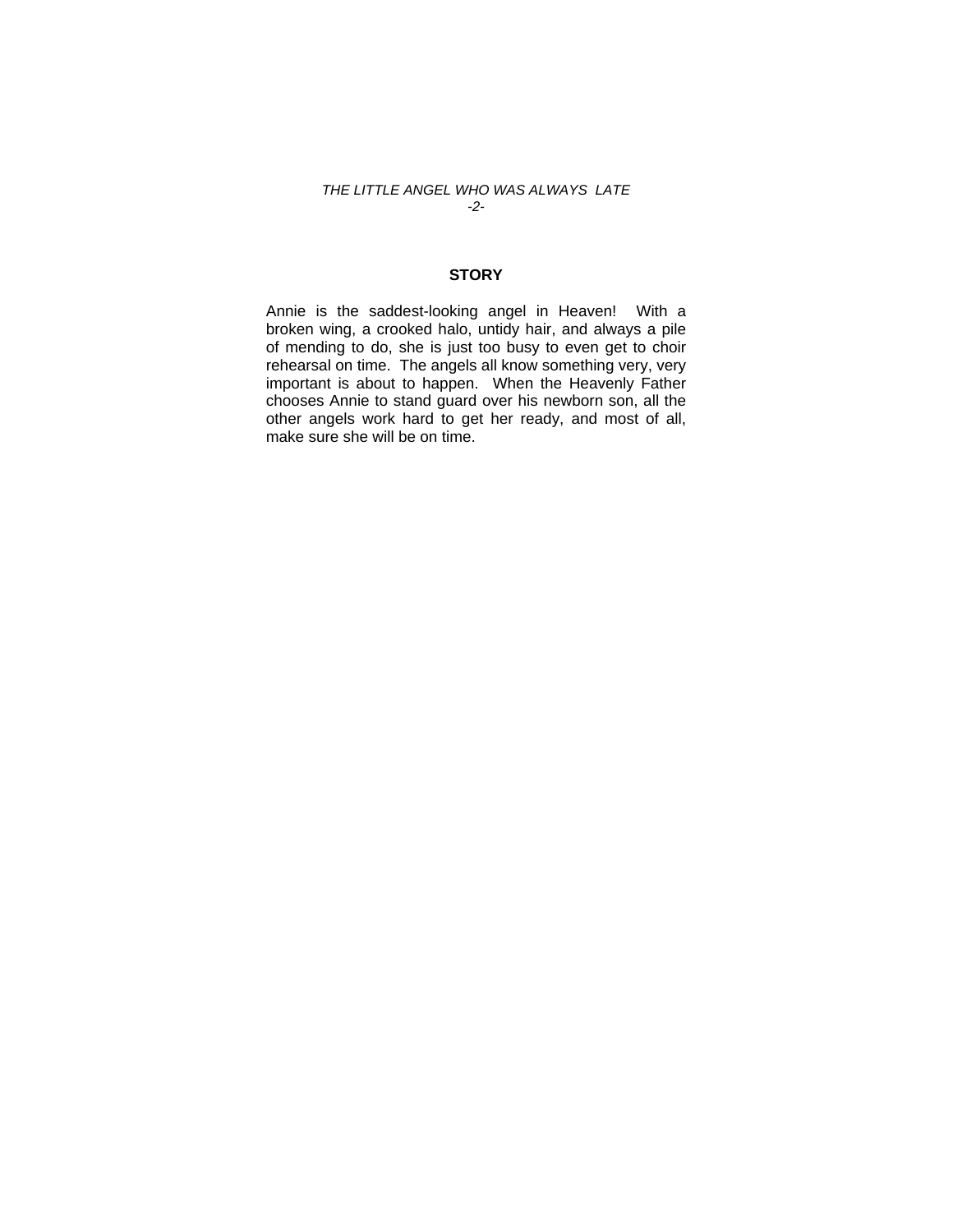### *THE LITTLE ANGEL WHO WAS ALWAYS LATE -2-*

## **STORY**

Annie is the saddest-looking angel in Heaven! With a broken wing, a crooked halo, untidy hair, and always a pile of mending to do, she is just too busy to even get to choir rehearsal on time. The angels all know something very, very important is about to happen. When the Heavenly Father chooses Annie to stand guard over his newborn son, all the other angels work hard to get her ready, and most of all, make sure she will be on time.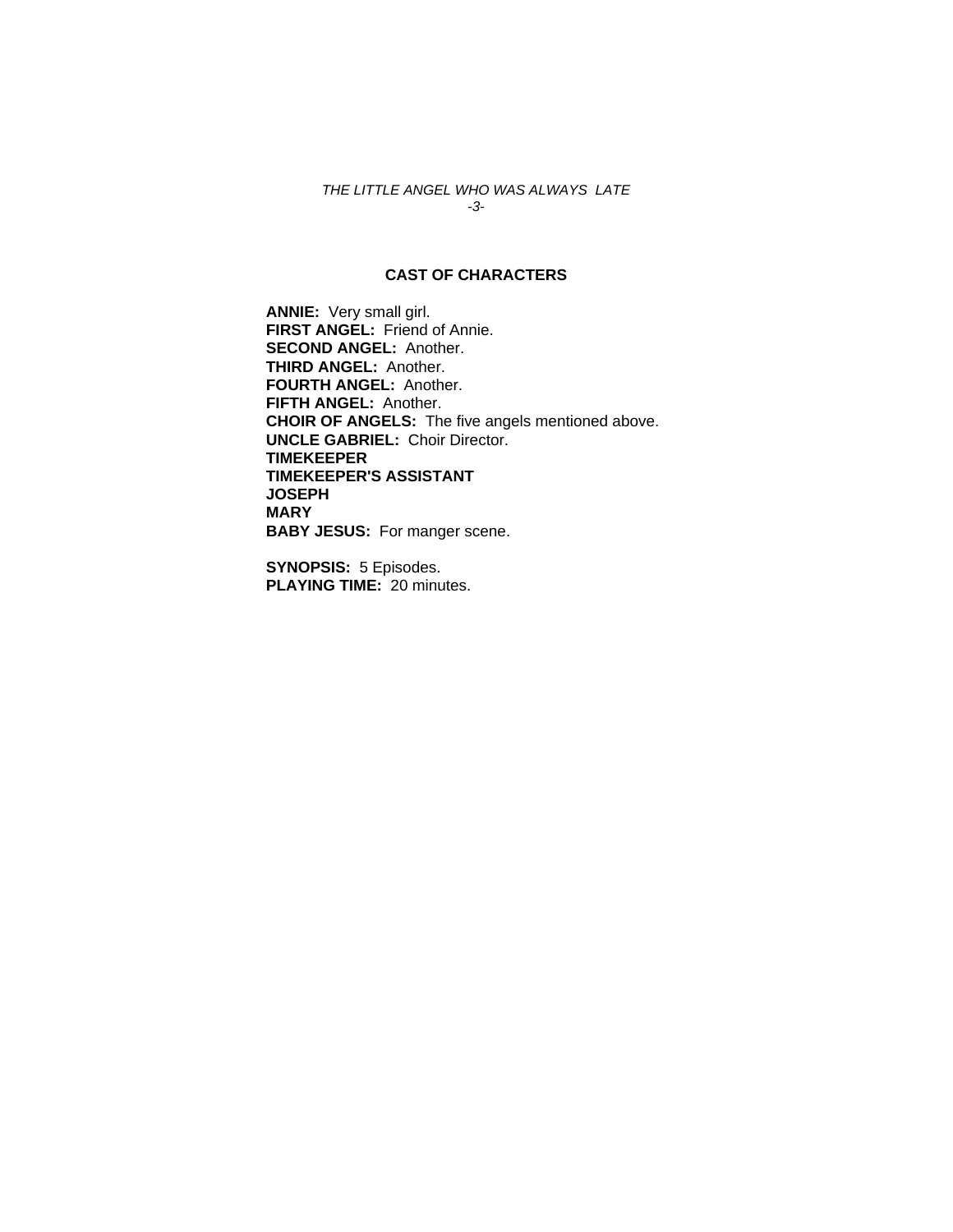## *THE LITTLE ANGEL WHO WAS ALWAYS LATE -3-*

## **CAST OF CHARACTERS**

**ANNIE:** Very small girl. **FIRST ANGEL:** Friend of Annie. **SECOND ANGEL:** Another. **THIRD ANGEL:** Another. **FOURTH ANGEL:** Another. **FIFTH ANGEL:** Another. **CHOIR OF ANGELS:** The five angels mentioned above. **UNCLE GABRIEL:** Choir Director. **TIMEKEEPER TIMEKEEPER'S ASSISTANT JOSEPH MARY BABY JESUS:** For manger scene.

**SYNOPSIS:** 5 Episodes. **PLAYING TIME:** 20 minutes.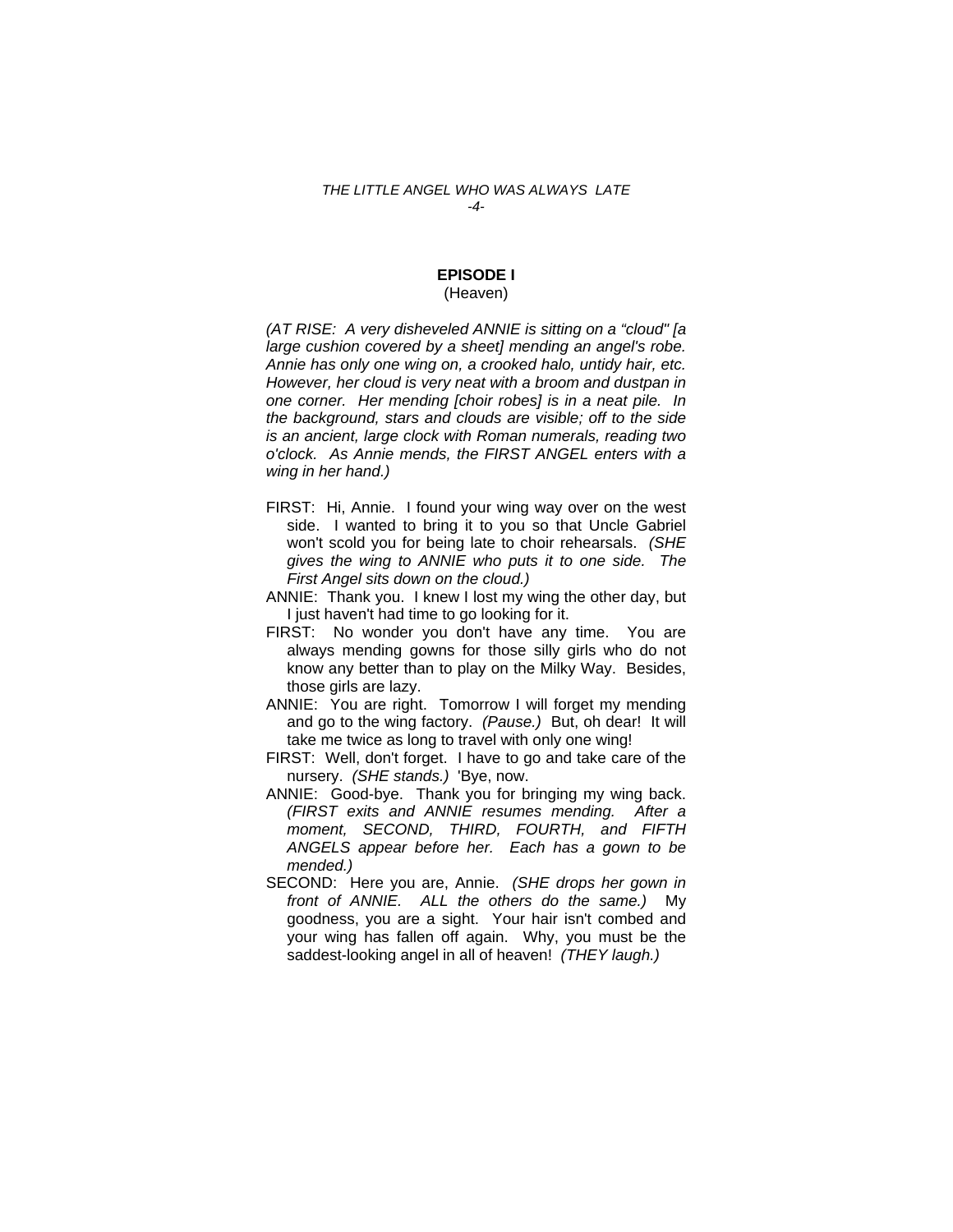#### *THE LITTLE ANGEL WHO WAS ALWAYS LATE -4-*

# **EPISODE I**

## (Heaven)

*(AT RISE: A very disheveled ANNIE is sitting on a "cloud" [a large cushion covered by a sheet] mending an angel's robe. Annie has only one wing on, a crooked halo, untidy hair, etc. However, her cloud is very neat with a broom and dustpan in one corner. Her mending [choir robes] is in a neat pile. In the background, stars and clouds are visible; off to the side is an ancient, large clock with Roman numerals, reading two o'clock. As Annie mends, the FIRST ANGEL enters with a wing in her hand.)* 

- FIRST: Hi, Annie. I found your wing way over on the west side. I wanted to bring it to you so that Uncle Gabriel won't scold you for being late to choir rehearsals. *(SHE gives the wing to ANNIE who puts it to one side. The First Angel sits down on the cloud.)*
- ANNIE: Thank you. I knew I lost my wing the other day, but I just haven't had time to go looking for it.
- FIRST: No wonder you don't have any time. You are always mending gowns for those silly girls who do not know any better than to play on the Milky Way. Besides, those girls are lazy.
- ANNIE: You are right. Tomorrow I will forget my mending and go to the wing factory. *(Pause.)* But, oh dear! It will take me twice as long to travel with only one wing!
- FIRST: Well, don't forget. I have to go and take care of the nursery. *(SHE stands.)* 'Bye, now.
- ANNIE: Good-bye. Thank you for bringing my wing back. *(FIRST exits and ANNIE resumes mending. After a moment, SECOND, THIRD, FOURTH, and FIFTH ANGELS appear before her. Each has a gown to be mended.)*
- SECOND: Here you are, Annie. *(SHE drops her gown in front of ANNIE. ALL the others do the same.)* My goodness, you are a sight. Your hair isn't combed and your wing has fallen off again. Why, you must be the saddest-looking angel in all of heaven! *(THEY laugh.)*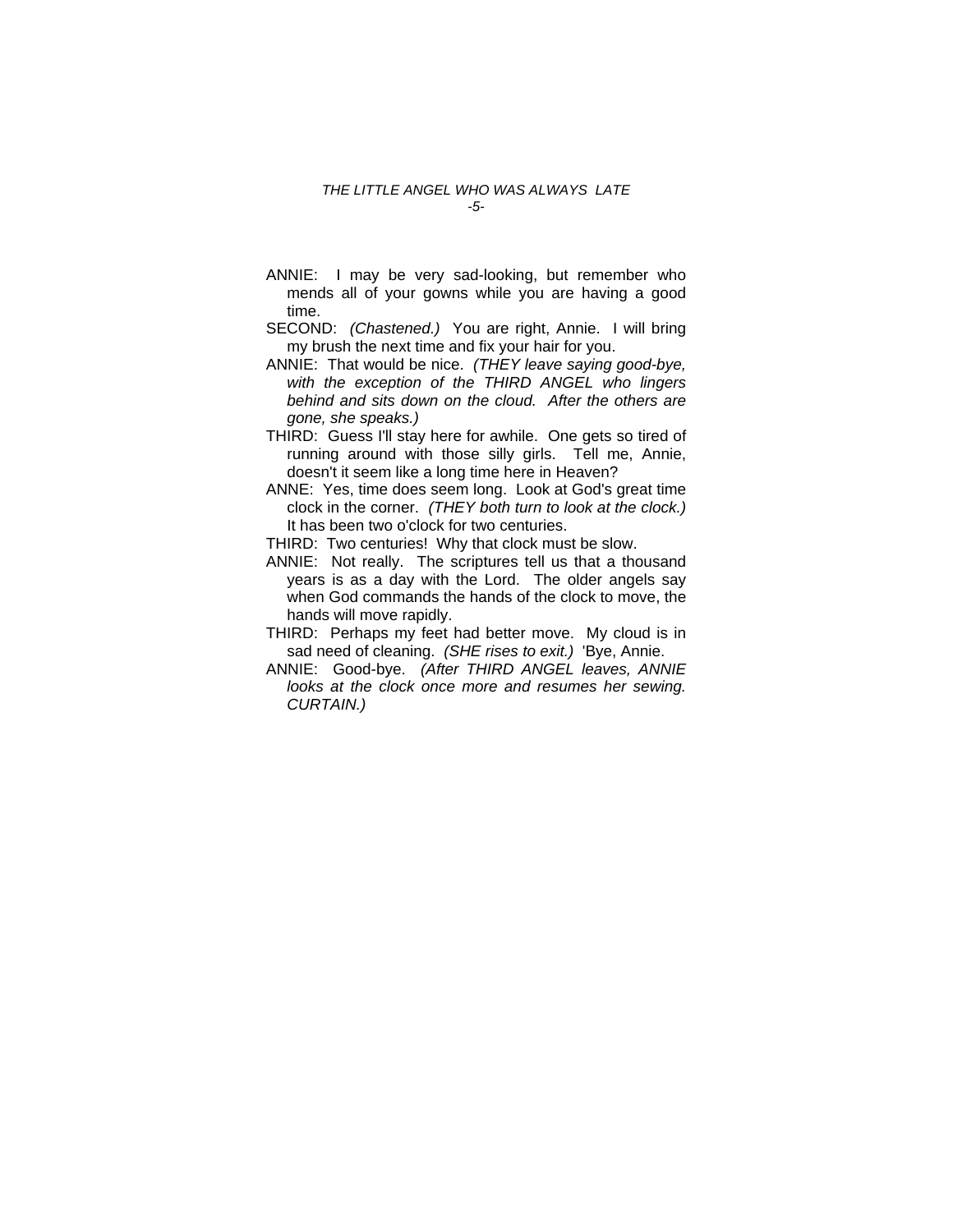#### *THE LITTLE ANGEL WHO WAS ALWAYS LATE -5-*

- ANNIE: I may be very sad-looking, but remember who mends all of your gowns while you are having a good time.
- SECOND: *(Chastened.)* You are right, Annie. I will bring my brush the next time and fix your hair for you.
- ANNIE: That would be nice. *(THEY leave saying good-bye, with the exception of the THIRD ANGEL who lingers behind and sits down on the cloud. After the others are gone, she speaks.)*
- THIRD: Guess I'll stay here for awhile. One gets so tired of running around with those silly girls. Tell me, Annie, doesn't it seem like a long time here in Heaven?
- ANNE: Yes, time does seem long. Look at God's great time clock in the corner. *(THEY both turn to look at the clock.)*  It has been two o'clock for two centuries.

THIRD: Two centuries! Why that clock must be slow.

- ANNIE: Not really. The scriptures tell us that a thousand years is as a day with the Lord. The older angels say when God commands the hands of the clock to move, the hands will move rapidly.
- THIRD: Perhaps my feet had better move. My cloud is in sad need of cleaning. *(SHE rises to exit.)* 'Bye, Annie.
- ANNIE: Good-bye. *(After THIRD ANGEL leaves, ANNIE looks at the clock once more and resumes her sewing. CURTAIN.)*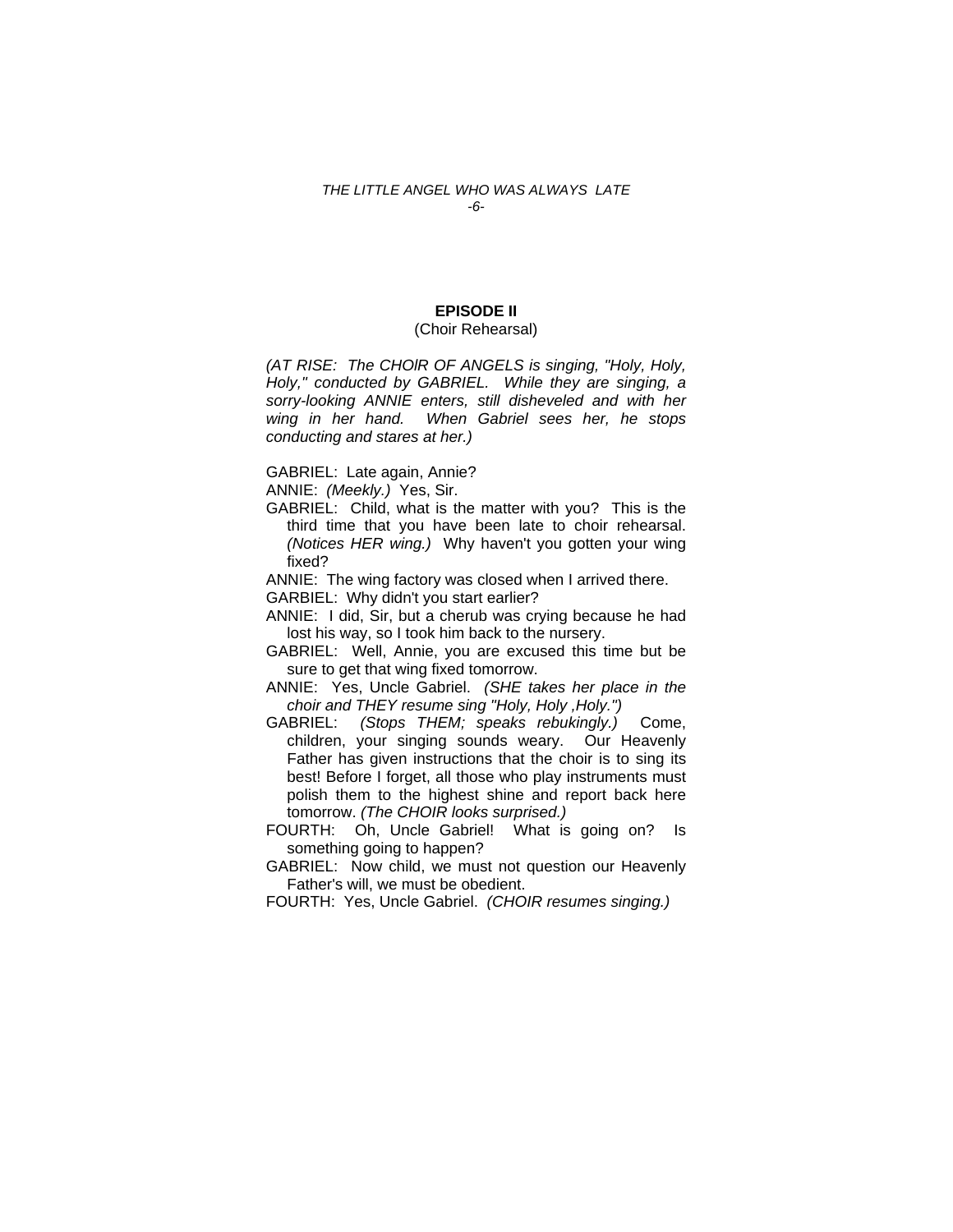#### *THE LITTLE ANGEL WHO WAS ALWAYS LATE -6-*

## **EPISODE II**

## (Choir Rehearsal)

*(AT RISE: The CHOlR OF ANGELS is singing, "Holy, Holy, Holy," conducted by GABRIEL. While they are singing, a sorry-looking ANNIE enters, still disheveled and with her wing in her hand. When Gabriel sees her, he stops conducting and stares at her.)* 

GABRIEL: Late again, Annie?

ANNIE: *(Meekly.)* Yes, Sir.

GABRIEL: Child, what is the matter with you? This is the third time that you have been late to choir rehearsal. *(Notices HER wing.)* Why haven't you gotten your wing fixed?

ANNIE: The wing factory was closed when I arrived there.

GARBIEL: Why didn't you start earlier?

- ANNIE: I did, Sir, but a cherub was crying because he had lost his way, so I took him back to the nursery.
- GABRIEL: Well, Annie, you are excused this time but be sure to get that wing fixed tomorrow.
- ANNIE: Yes, Uncle Gabriel. *(SHE takes her place in the choir and THEY resume sing "Holy, Holy ,Holy.")*
- GABRIEL: *(Stops THEM; speaks rebukingly.)* Come, children, your singing sounds weary. Our Heavenly Father has given instructions that the choir is to sing its best! Before I forget, all those who play instruments must polish them to the highest shine and report back here tomorrow. *(The CHOIR looks surprised.)*
- FOURTH: Oh, Uncle Gabriel! What is going on? Is something going to happen?

GABRIEL: Now child, we must not question our Heavenly Father's will, we must be obedient.

FOURTH: Yes, Uncle Gabriel. *(CHOIR resumes singing.)*